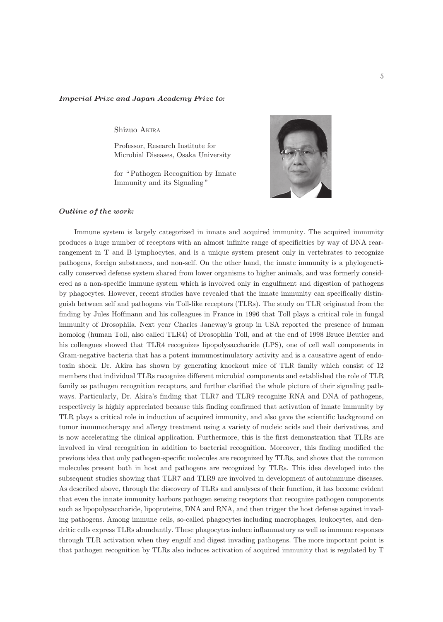## Imperial Prize and Japan Academy Prize to*:*

Shizuo AKIRA

Professor, Research Institute for Microbial Diseases, Osaka University

for "Pathogen Recognition by Innate Immunity and its Signaling "



## Outline of the work*:*

Immune system is largely categorized in innate and acquired immunity. The acquired immunity produces a huge number of receptors with an almost infinite range of specificities by way of DNA rearrangement in T and B lymphocytes, and is a unique system present only in vertebrates to recognize pathogens, foreign substances, and non-self. On the other hand, the innate immunity is a phylogenetically conserved defense system shared from lower organisms to higher animals, and was formerly considered as a non-specific immune system which is involved only in engulfment and digestion of pathogens by phagocytes. However, recent studies have revealed that the innate immunity can specifically distinguish between self and pathogens via Toll-like receptors (TLRs). The study on TLR originated from the finding by Jules Hoffmann and his colleagues in France in 1996 that Toll plays a critical role in fungal immunity of Drosophila. Next year Charles Janeway's group in USA reported the presence of human homolog (human Toll, also called TLR4) of Drosophila Toll, and at the end of 1998 Bruce Beutler and his colleagues showed that TLR4 recognizes lipopolysaccharide (LPS), one of cell wall components in Gram-negative bacteria that has a potent immunostimulatory activity and is a causative agent of endotoxin shock. Dr. Akira has shown by generating knockout mice of TLR family which consist of 12 members that individual TLRs recognize different microbial components and established the role of TLR family as pathogen recognition receptors, and further clarified the whole picture of their signaling pathways. Particularly, Dr. Akira's finding that TLR7 and TLR9 recognize RNA and DNA of pathogens, respectively is highly appreciated because this finding confirmed that activation of innate immunity by TLR plays a critical role in induction of acquired immunity, and also gave the scientific background on tumor immunotherapy and allergy treatment using a variety of nucleic acids and their derivatives, and is now accelerating the clinical application. Furthermore, this is the first demonstration that TLRs are involved in viral recognition in addition to bacterial recognition. Moreover, this finding modified the previous idea that only pathogen-specific molecules are recognized by TLRs, and shows that the common molecules present both in host and pathogens are recognized by TLRs. This idea developed into the subsequent studies showing that TLR7 and TLR9 are involved in development of autoimmune diseases. As described above, through the discovery of TLRs and analyses of their function, it has become evident that even the innate immunity harbors pathogen sensing receptors that recognize pathogen components such as lipopolysaccharide, lipoproteins, DNA and RNA, and then trigger the host defense against invading pathogens. Among immune cells, so-called phagocytes including macrophages, leukocytes, and dendritic cells express TLRs abundantly. These phagocytes induce inflammatory as well as immune responses through TLR activation when they engulf and digest invading pathogens. The more important point is that pathogen recognition by TLRs also induces activation of acquired immunity that is regulated by T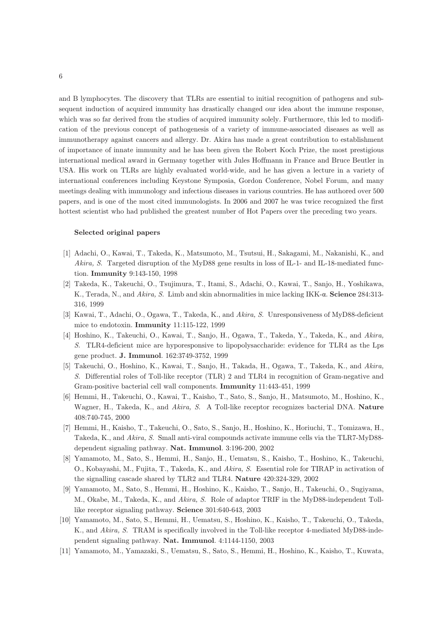and B lymphocytes. The discovery that TLRs are essential to initial recognition of pathogens and subsequent induction of acquired immunity has drastically changed our idea about the immune response, which was so far derived from the studies of acquired immunity solely. Furthermore, this led to modification of the previous concept of pathogenesis of a variety of immune-associated diseases as well as immunotherapy against cancers and allergy. Dr. Akira has made a great contribution to establishment of importance of innate immunity and he has been given the Robert Koch Prize, the most prestigious international medical award in Germany together with Jules Hoffmann in France and Bruce Beutler in USA. His work on TLRs are highly evaluated world-wide, and he has given a lecture in a variety of international conferences including Keystone Symposia, Gordon Conference, Nobel Forum, and many meetings dealing with immunology and infectious diseases in various countries. He has authored over 500 papers, and is one of the most cited immunologists. In 2006 and 2007 he was twice recognized the first hottest scientist who had published the greatest number of Hot Papers over the preceding two years.

## Selected original papers

- [1] Adachi, O., Kawai, T., Takeda, K., Matsumoto, M., Tsutsui, H., Sakagami, M., Nakanishi, K., and Akira, S. Targeted disruption of the MyD88 gene results in loss of IL-1- and IL-18-mediated function. Immunity 9:143-150, 1998
- [2] Takeda, K., Takeuchi, O., Tsujimura, T., Itami, S., Adachi, O., Kawai, T., Sanjo, H., Yoshikawa, K., Terada, N., and Akira, S. Limb and skin abnormalities in mice lacking IKK-α. Science 284:313- 316, 1999
- [3] Kawai, T., Adachi, O., Ogawa, T., Takeda, K., and Akira, S. Unresponsiveness of MyD88-deficient mice to endotoxin. Immunity 11:115-122, 1999
- [4] Hoshino, K., Takeuchi, O., Kawai, T., Sanjo, H., Ogawa, T., Takeda, Y., Takeda, K., and Akira, S. TLR4-deficient mice are hyporesponsive to lipopolysaccharide: evidence for TLR4 as the Lps gene product. J. Immunol. 162:3749-3752, 1999
- [5] Takeuchi, O., Hoshino, K., Kawai, T., Sanjo, H., Takada, H., Ogawa, T., Takeda, K., and Akira, S. Differential roles of Toll-like receptor (TLR) 2 and TLR4 in recognition of Gram-negative and Gram-positive bacterial cell wall components. Immunity 11:443-451, 1999
- [6] Hemmi, H., Takeuchi, O., Kawai, T., Kaisho, T., Sato, S., Sanjo, H., Matsumoto, M., Hoshino, K., Wagner, H., Takeda, K., and Akira, S. A Toll-like receptor recognizes bacterial DNA. Nature 408:740-745, 2000
- [7] Hemmi, H., Kaisho, T., Takeuchi, O., Sato, S., Sanjo, H., Hoshino, K., Horiuchi, T., Tomizawa, H., Takeda, K., and Akira, S. Small anti-viral compounds activate immune cells via the TLR7-MyD88 dependent signaling pathway. Nat. Immunol. 3:196-200, 2002
- [8] Yamamoto, M., Sato, S., Hemmi, H., Sanjo, H., Uematsu, S., Kaisho, T., Hoshino, K., Takeuchi, O., Kobayashi, M., Fujita, T., Takeda, K., and Akira, S. Essential role for TIRAP in activation of the signalling cascade shared by TLR2 and TLR4. Nature 420:324-329, 2002
- [9] Yamamoto, M., Sato, S., Hemmi, H., Hoshino, K., Kaisho, T., Sanjo, H., Takeuchi, O., Sugiyama, M., Okabe, M., Takeda, K., and Akira, S. Role of adaptor TRIF in the MyD88-independent Tolllike receptor signaling pathway. Science 301:640-643, 2003
- [10] Yamamoto, M., Sato, S., Hemmi, H., Uematsu, S., Hoshino, K., Kaisho, T., Takeuchi, O., Takeda, K., and Akira, S. TRAM is specifically involved in the Toll-like receptor 4-mediated MyD88-independent signaling pathway. Nat. Immunol. 4:1144-1150, 2003
- [11] Yamamoto, M., Yamazaki, S., Uematsu, S., Sato, S., Hemmi, H., Hoshino, K., Kaisho, T., Kuwata,